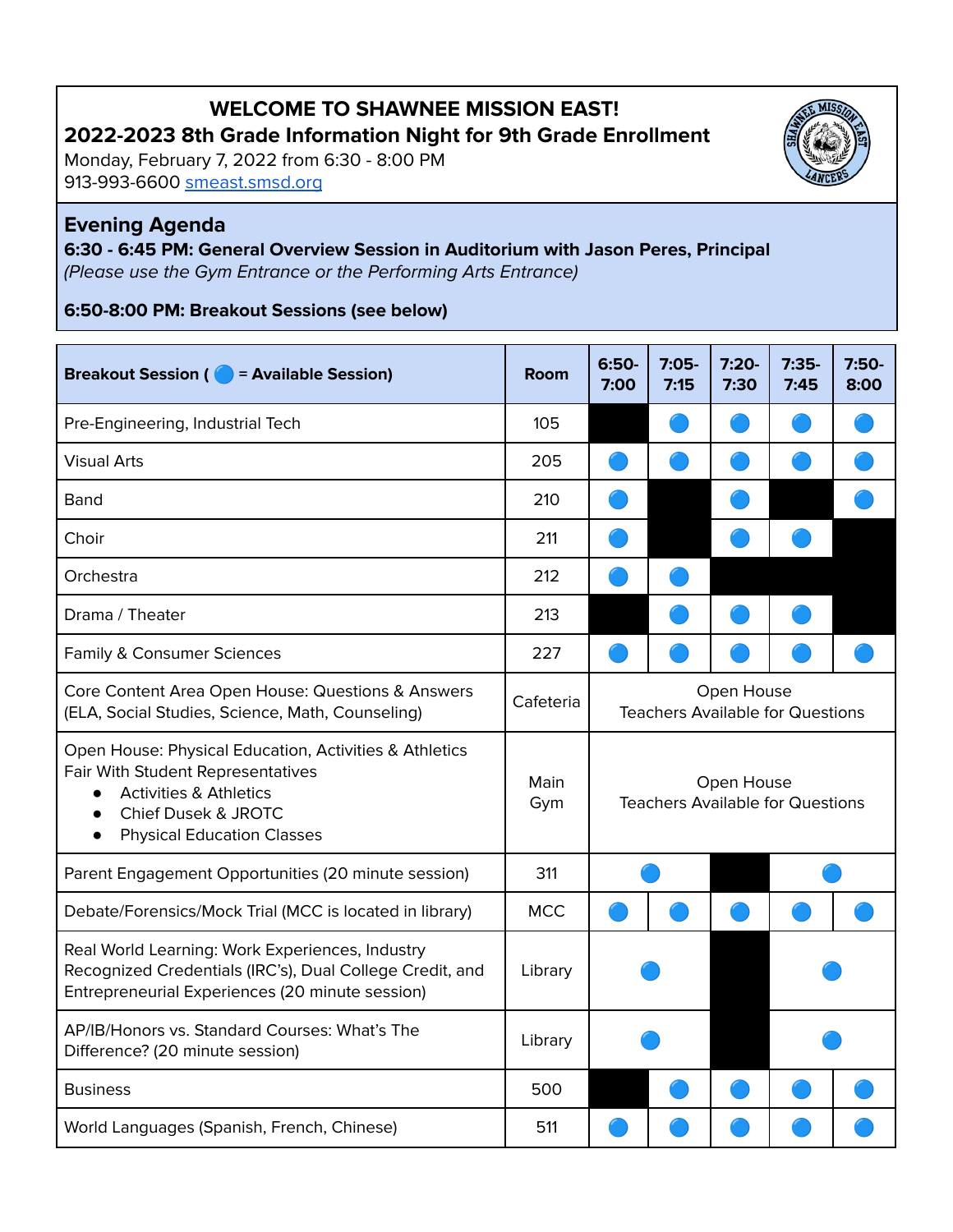# **WELCOME TO SHAWNEE MISSION EAST! 2022-2023 8th Grade Information Night for 9th Grade Enrollment**

Monday, February 7, 2022 from 6:30 - 8:00 PM 913-993-6600 [smeast.smsd.org](https://smeast.smsd.org/)

#### **Evening Agenda**

**6:30 - 6:45 PM: General Overview Session in Auditorium with Jason Peres, Principal** (Please use the Gym Entrance or the Performing Arts Entrance)

**6:50-8:00 PM: Breakout Sessions (see below)**

#### **Breakout Session ( = Available Session) Room 6:50- 7:00 7:05- 7:15 7:20- 7:30 7:35- 7:45 7:50- 8:00** Pre-Engineering, Industrial Tech 105 Visual Arts 205 Band 210 Choir  $\sim$  211  $\sim$  211  $\sim$  211  $\sim$  211  $\sim$  211  $\sim$  211  $\sim$  211  $\sim$  211  $\sim$  211  $\sim$  211  $\sim$  211  $\sim$  211  $\sim$  211  $\sim$  211  $\sim$  211  $\sim$  211  $\sim$  211  $\sim$  211  $\sim$  211  $\sim$  211  $\sim$  211  $\sim$  211  $\sim$  211  $\sim$  211 Orchestra 212 Drama / Theater 213 Family & Consumer Sciences 227 Core Content Area Open House: Questions & Answers (ELA, Social Studies, Science, Math, Counseling) Cafeteria Open House Teachers Available for Questions Open House: Physical Education, Activities & Athletics Fair With Student Representatives ● Activities & Athletics ● Chief Dusek & JROTC ● Physical Education Classes Main Gym Open House Teachers Available for Questions Parent Engagement Opportunities (20 minute session) | 311 Debate/Forensics/Mock Trial (MCC is located in library) | MCC Real World Learning: Work Experiences, Industry Recognized Credentials (IRC's), Dual College Credit, and Entrepreneurial Experiences (20 minute session) Library AP/IB/Honors vs. Standard Courses: What's The Difference? (20 minute session) Library Business and the state of the state of the state of the state of the state of the state of the state of the state of the state of the state of the state of the state of the state of the state of the state of the state of t World Languages (Spanish, French, Chinese) 1511

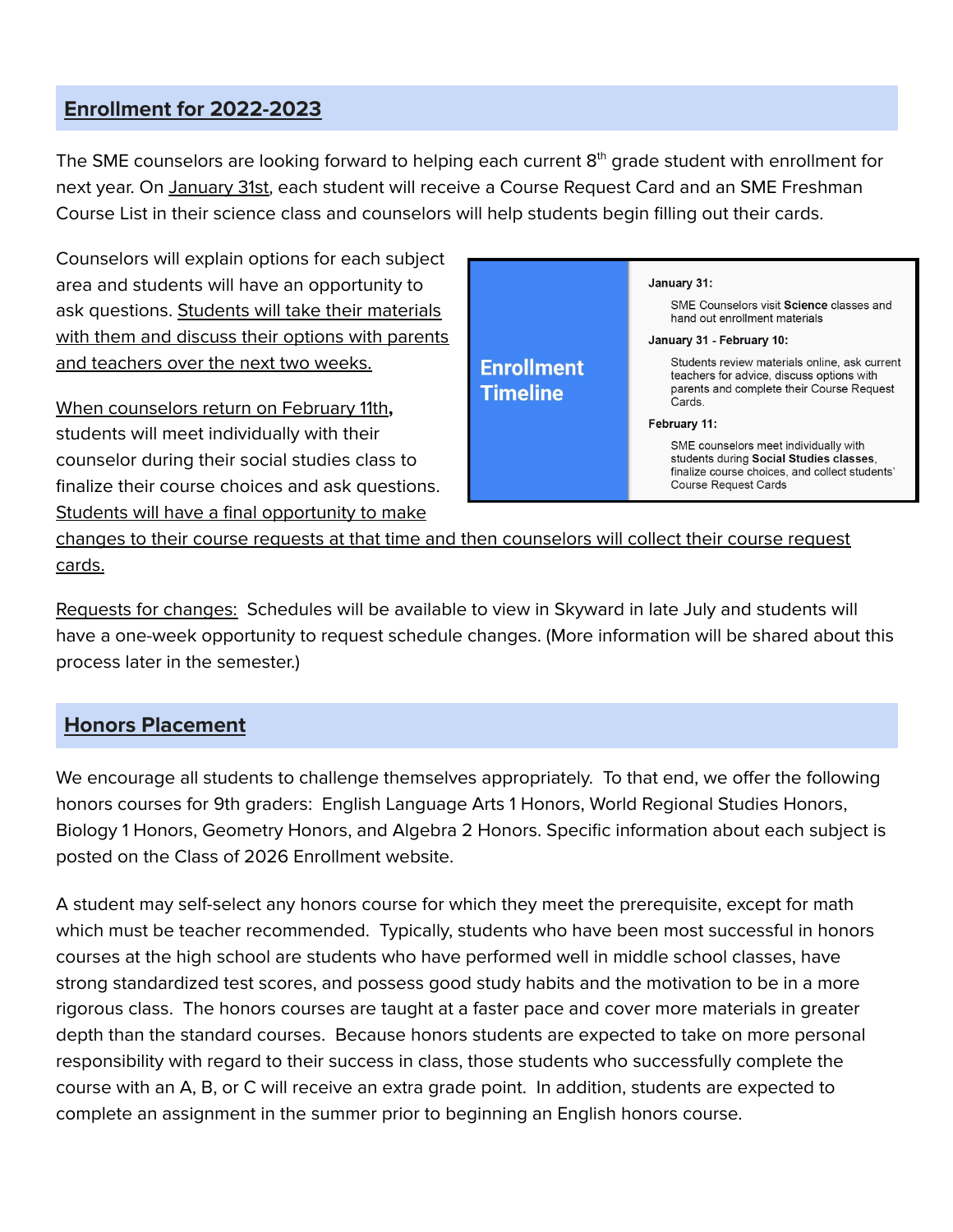#### **Enrollment for 2022-2023**

The SME counselors are looking forward to helping each current  $8^\text{th}$  grade student with enrollment for next year. On January 31st, each student will receive a Course Request Card and an SME Freshman Course List in their science class and counselors will help students begin filling out their cards.

Counselors will explain options for each subject area and students will have an opportunity to ask questions. Students will take their materials with them and discuss their options with parents and teachers over the next two weeks.

When counselors return on February 11th**,** students will meet individually with their counselor during their social studies class to finalize their course choices and ask questions. Students will have a final opportunity to make



changes to their course requests at that time and then counselors will collect their course request cards.

Requests for changes: Schedules will be available to view in Skyward in late July and students will have a one-week opportunity to request schedule changes. (More information will be shared about this process later in the semester.)

### **Honors Placement**

We encourage all students to challenge themselves appropriately. To that end, we offer the following honors courses for 9th graders: English Language Arts 1 Honors, World Regional Studies Honors, Biology 1 Honors, Geometry Honors, and Algebra 2 Honors. Specific information about each subject is posted on the Class of 2026 Enrollment website.

A student may self-select any honors course for which they meet the prerequisite, except for math which must be teacher recommended. Typically, students who have been most successful in honors courses at the high school are students who have performed well in middle school classes, have strong standardized test scores, and possess good study habits and the motivation to be in a more rigorous class. The honors courses are taught at a faster pace and cover more materials in greater depth than the standard courses. Because honors students are expected to take on more personal responsibility with regard to their success in class, those students who successfully complete the course with an A, B, or C will receive an extra grade point. In addition, students are expected to complete an assignment in the summer prior to beginning an English honors course.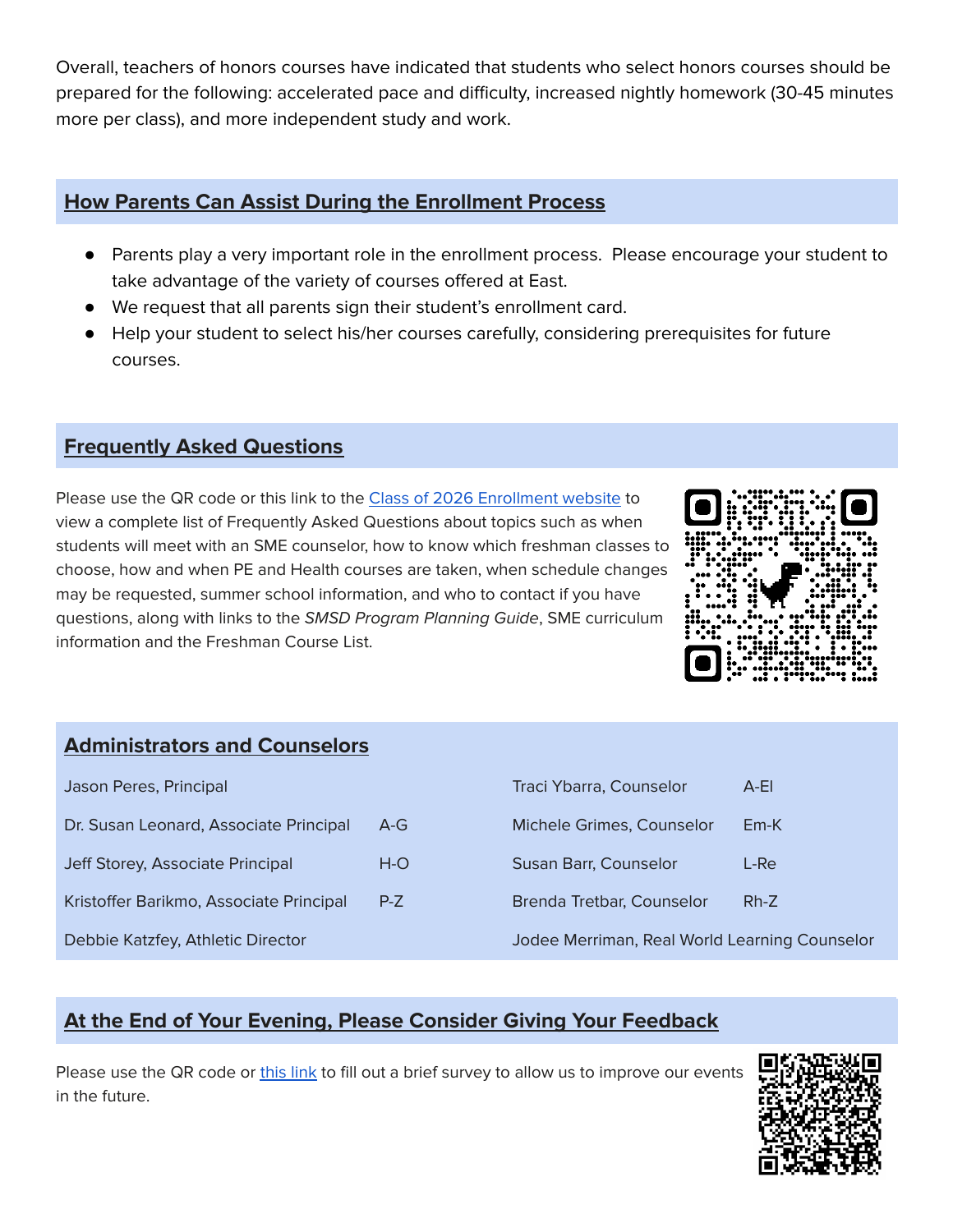Overall, teachers of honors courses have indicated that students who select honors courses should be prepared for the following: accelerated pace and difficulty, increased nightly homework (30-45 minutes more per class), and more independent study and work.

#### **How Parents Can Assist During the Enrollment Process**

- Parents play a very important role in the enrollment process. Please encourage your student to take advantage of the variety of courses offered at East.
- We request that all parents sign their student's enrollment card.
- Help your student to select his/her courses carefully, considering prerequisites for future courses.

## **Frequently Asked Questions**

Please use the QR code or this link to the Class of 2026 [Enrollment](https://smeast.smsd.org/students/counseling/current-8th-graders) website to view a complete list of Frequently Asked Questions about topics such as when students will meet with an SME counselor, how to know which freshman classes to choose, how and when PE and Health courses are taken, when schedule changes may be requested, summer school information, and who to contact if you have questions, along with links to the SMSD Program Planning Guide, SME curriculum information and the Freshman Course List.



# **Administrators and Counselors**

| Jason Peres, Principal                  |       | Traci Ybarra, Counselor                       | $A$ -El |
|-----------------------------------------|-------|-----------------------------------------------|---------|
| Dr. Susan Leonard, Associate Principal  | $A-G$ | Michele Grimes, Counselor                     | $Em-K$  |
| Jeff Storey, Associate Principal        | $H-O$ | Susan Barr, Counselor                         | L-Re    |
| Kristoffer Barikmo, Associate Principal | $P-Z$ | Brenda Tretbar, Counselor                     | $Rh-Z$  |
| Debbie Katzfey, Athletic Director       |       | Jodee Merriman, Real World Learning Counselor |         |

# **At the End of Your Evening, Please Consider Giving Your Feedback**

Please use the QR code or [this](https://docs.google.com/forms/d/e/1FAIpQLSdFbiNTu11_1ZP4JRrx4uP8-mEuKkRdcuTGOX5N0ZgYlxdyYQ/viewform?usp=sf_link) link to fill out a brief survey to allow us to improve our events in the future.